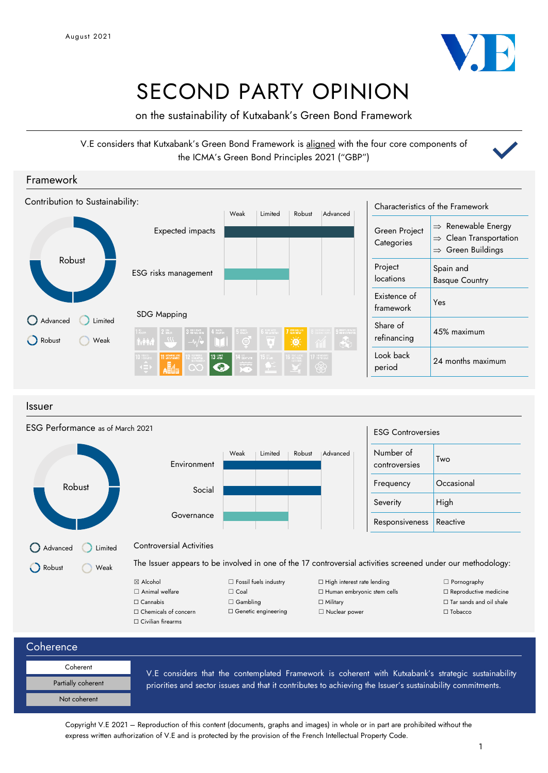

# SECOND PARTY OPINION

on the sustainability of Kutxabank's Green Bond Framework

V.E considers that Kutxabank's Green Bond Framework is aligned with the four core components of the ICMA's Green Bond Principles 2021 ("GBP")



Issuer

| ESG Performance as of March 2021 |                                                                                                             |                              |                                   | <b>ESG Controversies</b>   |                                |
|----------------------------------|-------------------------------------------------------------------------------------------------------------|------------------------------|-----------------------------------|----------------------------|--------------------------------|
|                                  | Environment                                                                                                 | Weak<br>Limited              | Robust<br>Advanced                | Number of<br>controversies | Two                            |
| Robust                           | Social                                                                                                      |                              |                                   | Frequency                  | Occasional                     |
|                                  |                                                                                                             |                              |                                   | Severity                   | High                           |
|                                  | Governance                                                                                                  |                              |                                   | Responsiveness             | Reactive                       |
| Advanced<br>Limited              | <b>Controversial Activities</b>                                                                             |                              |                                   |                            |                                |
| Robust<br>Weak                   | The Issuer appears to be involved in one of the 17 controversial activities screened under our methodology: |                              |                                   |                            |                                |
|                                  | ⊠ Alcohol                                                                                                   | $\Box$ Fossil fuels industry | $\Box$ High interest rate lending |                            | $\Box$ Pornography             |
|                                  | $\Box$ Animal welfare                                                                                       | $\Box$ Coal                  | □ Human embryonic stem cells      |                            | $\Box$ Reproductive medicine   |
|                                  | $\Box$ Cannabis                                                                                             | $\Box$ Gambling              | $\Box$ Military                   |                            | $\Box$ Tar sands and oil shale |
|                                  | $\Box$ Chemicals of concern                                                                                 | $\Box$ Genetic engineering   | □ Nuclear power                   |                            | $\Box$ Tobacco                 |
|                                  | $\Box$ Civilian firearms                                                                                    |                              |                                   |                            |                                |

**Coherence** 

| Coherent           |  |
|--------------------|--|
| Partially coherent |  |
| Not coherent       |  |

V.E considers that the contemplated Framework is coherent with Kutxabank's strategic sustainability priorities and sector issues and that it contributes to achieving the Issuer's sustainability commitments.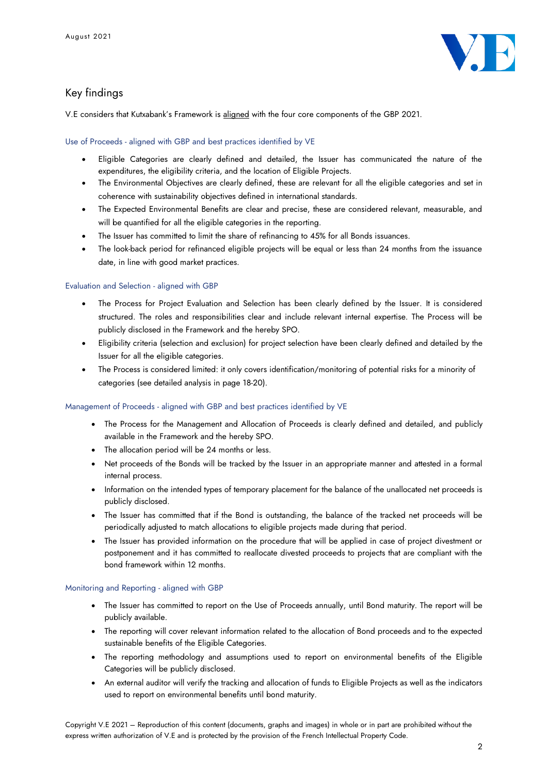

## Key findings

V.E considers that Kutxabank's Framework is aligned with the four core components of the GBP 2021.

Use of Proceeds - aligned with GBP and best practices identified by VE

- Eligible Categories are clearly defined and detailed, the Issuer has communicated the nature of the expenditures, the eligibility criteria, and the location of Eligible Projects.
- The Environmental Objectives are clearly defined, these are relevant for all the eligible categories and set in coherence with sustainability objectives defined in international standards.
- The Expected Environmental Benefits are clear and precise, these are considered relevant, measurable, and will be quantified for all the eligible categories in the reporting.
- The Issuer has committed to limit the share of refinancing to 45% for all Bonds issuances.
- The look-back period for refinanced eligible projects will be equal or less than 24 months from the issuance date, in line with good market practices.

## Evaluation and Selection - aligned with GBP

- The Process for Project Evaluation and Selection has been clearly defined by the Issuer. It is considered structured. The roles and responsibilities clear and include relevant internal expertise. The Process will be publicly disclosed in the Framework and the hereby SPO.
- Eligibility criteria (selection and exclusion) for project selection have been clearly defined and detailed by the Issuer for all the eligible categories.
- The Process is considered limited: it only covers identification/monitoring of potential risks for a minority of categories (see detailed analysis in page 18-20).

### Management of Proceeds - aligned with GBP and best practices identified by VE

- The Process for the Management and Allocation of Proceeds is clearly defined and detailed, and publicly available in the Framework and the hereby SPO.
- The allocation period will be 24 months or less.
- Net proceeds of the Bonds will be tracked by the Issuer in an appropriate manner and attested in a formal internal process.
- Information on the intended types of temporary placement for the balance of the unallocated net proceeds is publicly disclosed.
- The Issuer has committed that if the Bond is outstanding, the balance of the tracked net proceeds will be periodically adjusted to match allocations to eligible projects made during that period.
- The Issuer has provided information on the procedure that will be applied in case of project divestment or postponement and it has committed to reallocate divested proceeds to projects that are compliant with the bond framework within 12 months.

### Monitoring and Reporting - aligned with GBP

- The Issuer has committed to report on the Use of Proceeds annually, until Bond maturity. The report will be publicly available.
- The reporting will cover relevant information related to the allocation of Bond proceeds and to the expected sustainable benefits of the Eligible Categories.
- The reporting methodology and assumptions used to report on environmental benefits of the Eligible Categories will be publicly disclosed.
- An external auditor will verify the tracking and allocation of funds to Eligible Projects as well as the indicators used to report on environmental benefits until bond maturity.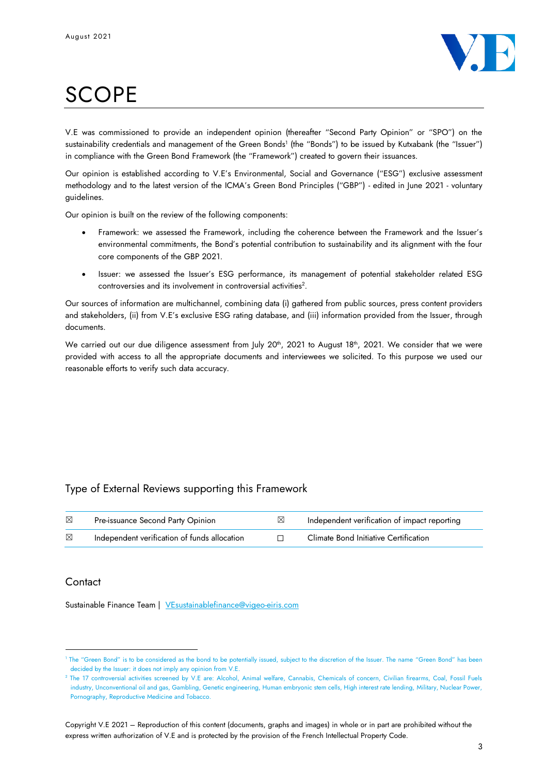

# **SCOPE**

V.E was commissioned to provide an independent opinion (thereafter "Second Party Opinion" or "SPO") on the sustainability credentials and management of the Green Bonds<sup>1</sup> (the "Bonds") to be issued by Kutxabank (the "Issuer") in compliance with the Green Bond Framework (the "Framework") created to govern their issuances.

Our opinion is established according to V.E's Environmental, Social and Governance ("ESG") exclusive assessment methodology and to the latest version of the ICMA's Green Bond Principles ("GBP") - edited in June 2021 - voluntary guidelines.

Our opinion is built on the review of the following components:

- Framework: we assessed the Framework, including the coherence between the Framework and the Issuer's environmental commitments, the Bond's potential contribution to sustainability and its alignment with the four core components of the GBP 2021.
- Issuer: we assessed the Issuer's ESG performance, its management of potential stakeholder related ESG controversies and its involvement in controversial activities<sup>2</sup> .

Our sources of information are multichannel, combining data (i) gathered from public sources, press content providers and stakeholders, (ii) from V.E's exclusive ESG rating database, and (iii) information provided from the Issuer, through documents.

We carried out our due diligence assessment from July 20<sup>th</sup>, 2021 to August 18<sup>th</sup>, 2021. We consider that we were provided with access to all the appropriate documents and interviewees we solicited. To this purpose we used our reasonable efforts to verify such data accuracy.

## Type of External Reviews supporting this Framework

| ⊠ | Pre-issuance Second Party Opinion            | Independent verification of impact reporting |
|---|----------------------------------------------|----------------------------------------------|
| ⊠ | Independent verification of funds allocation | Climate Bond Initiative Certification        |

## **Contact**

Sustainable Finance Team | [VEsustainablefinance@vigeo-eiris.com](mailto:VEsustainablefinance@vigeo-eiris.com)

<sup>1</sup> The "Green Bond" is to be considered as the bond to be potentially issued, subject to the discretion of the Issuer. The name "Green Bond" has been decided by the Issuer: it does not imply any opinion from V.E.

<sup>2</sup> The 17 controversial activities screened by V.E are: Alcohol, Animal welfare, Cannabis, Chemicals of concern, Civilian firearms, Coal, Fossil Fuels industry, Unconventional oil and gas, Gambling, Genetic engineering, Human embryonic stem cells, High interest rate lending, Military, Nuclear Power, Pornography, Reproductive Medicine and Tobacco.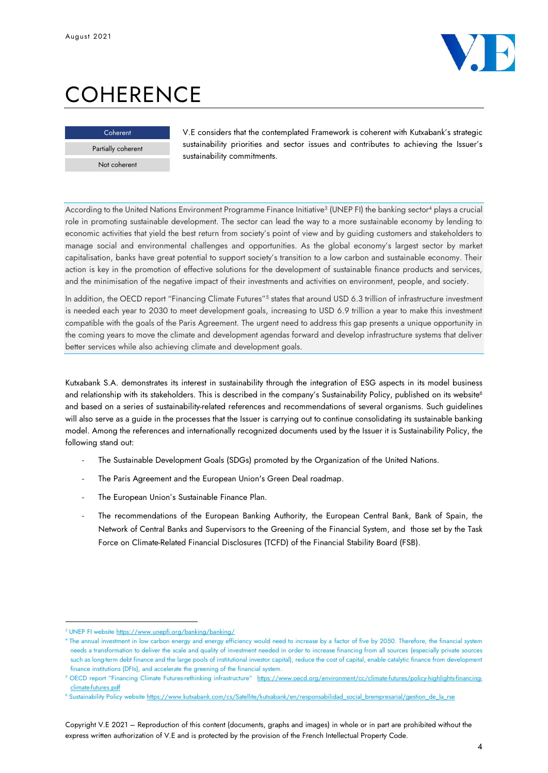

# **COHERENCE**



V.E considers that the contemplated Framework is coherent with Kutxabank's strategic sustainability priorities and sector issues and contributes to achieving the Issuer's sustainability commitments.

According to the United Nations Environment Programme Finance Initiative<sup>3</sup> (UNEP FI) the banking sector<sup>4</sup> plays a crucial role in promoting sustainable development. The sector can lead the way to a more sustainable economy by lending to economic activities that yield the best return from society's point of view and by guiding customers and stakeholders to manage social and environmental challenges and opportunities. As the global economy's largest sector by market capitalisation, banks have great potential to support society's transition to a low carbon and sustainable economy. Their action is key in the promotion of effective solutions for the development of sustainable finance products and services, and the minimisation of the negative impact of their investments and activities on environment, people, and society.

In addition, the OECD report "Financing Climate Futures"<sup>5</sup> states that around USD 6.3 trillion of infrastructure investment is needed each year to 2030 to meet development goals, increasing to USD 6.9 trillion a year to make this investment compatible with the goals of the Paris Agreement. The urgent need to address this gap presents a unique opportunity in the coming years to move the climate and development agendas forward and develop infrastructure systems that deliver better services while also achieving climate and development goals.

Kutxabank S.A. demonstrates its interest in sustainability through the integration of ESG aspects in its model business and relationship with its stakeholders. This is described in the company's Sustainability Policy, published on its website<sup>6</sup> and based on a series of sustainability-related references and recommendations of several organisms. Such guidelines will also serve as a guide in the processes that the Issuer is carrying out to continue consolidating its sustainable banking model. Among the references and internationally recognized documents used by the Issuer it is Sustainability Policy, the following stand out:

- The Sustainable Development Goals (SDGs) promoted by the Organization of the United Nations.
- The Paris Agreement and the European Union's Green Deal roadmap.
- The European Union's Sustainable Finance Plan.
- The recommendations of the European Banking Authority, the European Central Bank, Bank of Spain, the Network of Central Banks and Supervisors to the Greening of the Financial System, and those set by the Task Force on Climate-Related Financial Disclosures (TCFD) of the Financial Stability Board (FSB).

<sup>3</sup> UNEP FI websit[e https://www.unepfi.org/banking/banking/](https://www.unepfi.org/banking/banking/)

<sup>4</sup> The annual investment in low carbon energy and energy efficiency would need to increase by a factor of five by 2050. Therefore, the financial system needs a transformation to deliver the scale and quality of investment needed in order to increase financing from all sources (especially private sources such as long-term debt finance and the large pools of institutional investor capital), reduce the cost of capital, enable catalytic finance from development finance institutions (DFIs), and accelerate the greening of the financial system.

<sup>5</sup> OECD report "Financing Climate Futures-rethinking infrastructure" [https://www.oecd.org/environment/cc/climate-futures/policy-highlights-financing](https://www.oecd.org/environment/cc/climate-futures/policy-highlights-financing-climate-futures.pdf)[climate-futures.pdf](https://www.oecd.org/environment/cc/climate-futures/policy-highlights-financing-climate-futures.pdf)

<sup>&</sup>lt;sup>6</sup> Sustainability Policy websit[e https://www.kutxabank.com/cs/Satellite/kutxabank/en/responsabilidad\\_social\\_brempresarial/gestion\\_de\\_la\\_rse](https://www.kutxabank.com/cs/Satellite/kutxabank/en/responsabilidad_social_brempresarial/gestion_de_la_rse)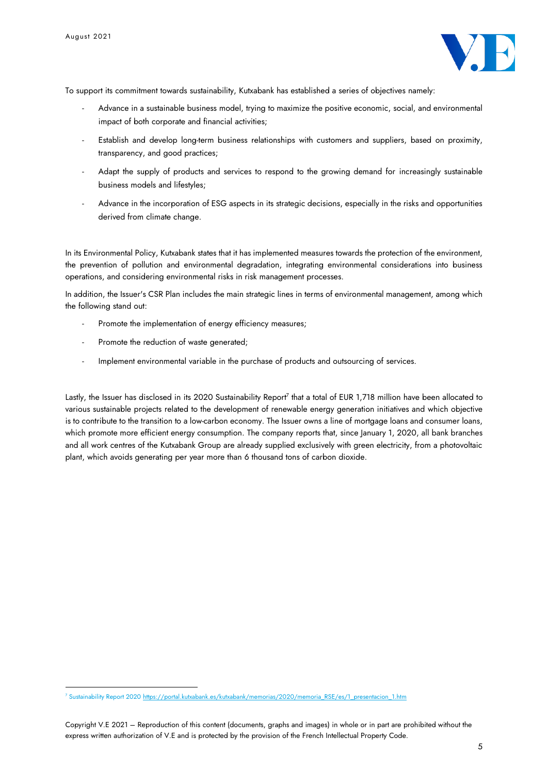

To support its commitment towards sustainability, Kutxabank has established a series of objectives namely:

- Advance in a sustainable business model, trying to maximize the positive economic, social, and environmental impact of both corporate and financial activities;
- Establish and develop long-term business relationships with customers and suppliers, based on proximity, transparency, and good practices;
- Adapt the supply of products and services to respond to the growing demand for increasingly sustainable business models and lifestyles;
- Advance in the incorporation of ESG aspects in its strategic decisions, especially in the risks and opportunities derived from climate change.

In its Environmental Policy, Kutxabank states that it has implemented measures towards the protection of the environment, the prevention of pollution and environmental degradation, integrating environmental considerations into business operations, and considering environmental risks in risk management processes.

In addition, the Issuer's CSR Plan includes the main strategic lines in terms of environmental management, among which the following stand out:

- Promote the implementation of energy efficiency measures;
- Promote the reduction of waste generated;
- Implement environmental variable in the purchase of products and outsourcing of services.

Lastly, the Issuer has disclosed in its 2020 Sustainability Report<sup>7</sup> that a total of EUR 1,718 million have been allocated to various sustainable projects related to the development of renewable energy generation initiatives and which objective is to contribute to the transition to a low-carbon economy. The Issuer owns a line of mortgage loans and consumer loans, which promote more efficient energy consumption. The company reports that, since January 1, 2020, all bank branches and all work centres of the Kutxabank Group are already supplied exclusively with green electricity, from a photovoltaic plant, which avoids generating per year more than 6 thousand tons of carbon dioxide.

<sup>&</sup>lt;sup>7</sup> Sustainability Report 2020 https://portal.kutxabank.es/kutxabank/memorias/2020/memoria\_RSE/es/1\_presentacion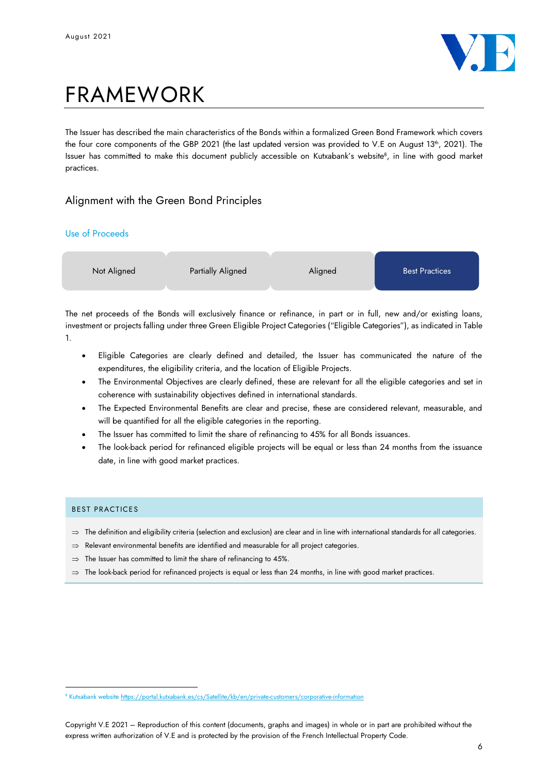

# FRAMEWORK

The Issuer has described the main characteristics of the Bonds within a formalized Green Bond Framework which covers the four core components of the GBP 2021 (the last updated version was provided to V.E on August 13<sup>th</sup>, 2021). The Issuer has committed to make this document publicly accessible on Kutxabank's website<sup>8</sup>, in line with good market practices.

## Alignment with the Green Bond Principles

## Use of Proceeds



The net proceeds of the Bonds will exclusively finance or refinance, in part or in full, new and/or existing loans, investment or projects falling under three Green Eligible Project Categories ("Eligible Categories"), as indicated in Table 1.

- Eligible Categories are clearly defined and detailed, the Issuer has communicated the nature of the expenditures, the eligibility criteria, and the location of Eligible Projects.
- The Environmental Objectives are clearly defined, these are relevant for all the eligible categories and set in coherence with sustainability objectives defined in international standards.
- The Expected Environmental Benefits are clear and precise, these are considered relevant, measurable, and will be quantified for all the eligible categories in the reporting.
- The Issuer has committed to limit the share of refinancing to 45% for all Bonds issuances.
- The look-back period for refinanced eligible projects will be equal or less than 24 months from the issuance date, in line with good market practices.

### BEST PRACTICES

- $\Rightarrow$  The definition and eligibility criteria (selection and exclusion) are clear and in line with international standards for all categories.
- $\Rightarrow$  Relevant environmental benefits are identified and measurable for all project categories.
- $\Rightarrow$  The Issuer has committed to limit the share of refinancing to 45%.
- $\Rightarrow$  The look-back period for refinanced projects is equal or less than 24 months, in line with good market practices.

<sup>&</sup>lt;sup>8</sup> Kutxabank website https://portal.kutxabank.es/cs/Satellite/kb/en/private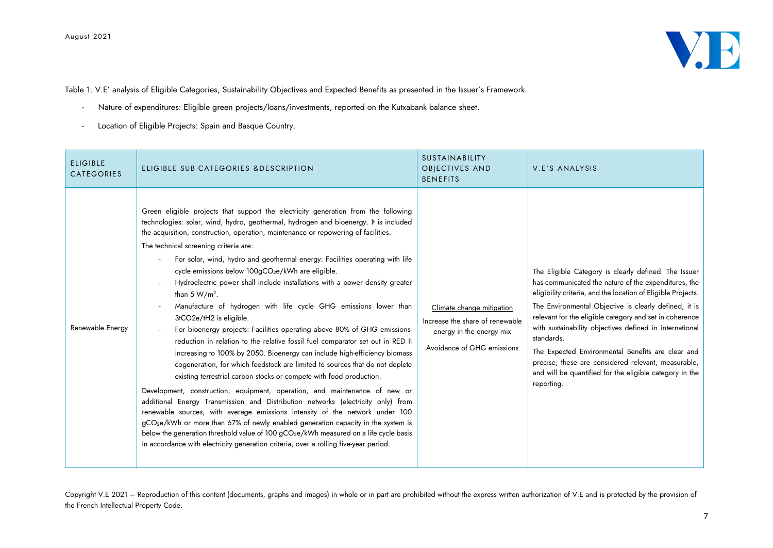

Table 1. V.E' analysis of Eligible Categories, Sustainability Objectives and Expected Benefits as presented in the Issuer's Framework.

- Nature of expenditures: Eligible green projects/loans/investments, reported on the Kutxabank balance sheet.
- Location of Eligible Projects: Spain and Basque Country.

| <b>ELIGIBLE</b><br><b>CATEGORIES</b> | ELIGIBLE SUB-CATEGORIES & DESCRIPTION                                                                                                                                                                                                                                                                                                                                                                                                                                                                                                                                                                                                                                                                                                                                                                                                                                                                                                                                                                                                                                                                                                                                                                                                                                                                                                                                                                                                                                                                                                                                                                           | <b>SUSTAINABILITY</b><br><b>OBJECTIVES AND</b><br><b>BENEFITS</b>                                                      | V.E'S ANALYSIS                                                                                                                                                                                                                                                                                                                                                                                                                                                                                                                                                 |
|--------------------------------------|-----------------------------------------------------------------------------------------------------------------------------------------------------------------------------------------------------------------------------------------------------------------------------------------------------------------------------------------------------------------------------------------------------------------------------------------------------------------------------------------------------------------------------------------------------------------------------------------------------------------------------------------------------------------------------------------------------------------------------------------------------------------------------------------------------------------------------------------------------------------------------------------------------------------------------------------------------------------------------------------------------------------------------------------------------------------------------------------------------------------------------------------------------------------------------------------------------------------------------------------------------------------------------------------------------------------------------------------------------------------------------------------------------------------------------------------------------------------------------------------------------------------------------------------------------------------------------------------------------------------|------------------------------------------------------------------------------------------------------------------------|----------------------------------------------------------------------------------------------------------------------------------------------------------------------------------------------------------------------------------------------------------------------------------------------------------------------------------------------------------------------------------------------------------------------------------------------------------------------------------------------------------------------------------------------------------------|
| Renewable Energy                     | Green eligible projects that support the electricity generation from the following<br>technologies: solar, wind, hydro, geothermal, hydrogen and bioenergy. It is included<br>the acquisition, construction, operation, maintenance or repowering of facilities.<br>The technical screening criteria are:<br>For solar, wind, hydro and geothermal energy: Facilities operating with life<br>cycle emissions below 100gCO <sub>2</sub> e/kWh are eligible.<br>Hydroelectric power shall include installations with a power density greater<br>than $5 W/m^2$ .<br>Manufacture of hydrogen with life cycle GHG emissions lower than<br>3tCO2e/tH2 is eligible.<br>For bioenergy projects: Facilities operating above 80% of GHG emissions-<br>reduction in relation to the relative fossil fuel comparator set out in RED II<br>increasing to 100% by 2050. Bioenergy can include high-efficiency biomass<br>cogeneration, for which feedstock are limited to sources that do not deplete<br>existing terrestrial carbon stocks or compete with food production.<br>Development, construction, equipment, operation, and maintenance of new or<br>additional Energy Transmission and Distribution networks (electricity only) from<br>renewable sources, with average emissions intensity of the network under 100<br>gCO <sub>2</sub> e/kWh or more than 67% of newly enabled generation capacity in the system is<br>below the generation threshold value of 100 gCO <sub>2</sub> e/kWh measured on a life cycle basis<br>in accordance with electricity generation criteria, over a rolling five-year period. | Climate change mitigation<br>Increase the share of renewable<br>energy in the energy mix<br>Avoidance of GHG emissions | The Eligible Category is clearly defined. The Issuer<br>has communicated the nature of the expenditures, the<br>eligibility criteria, and the location of Eligible Projects.<br>The Environmental Objective is clearly defined, it is<br>relevant for the eligible category and set in coherence<br>with sustainability objectives defined in international<br>standards.<br>The Expected Environmental Benefits are clear and<br>precise, these are considered relevant, measurable,<br>and will be quantified for the eligible category in the<br>reporting. |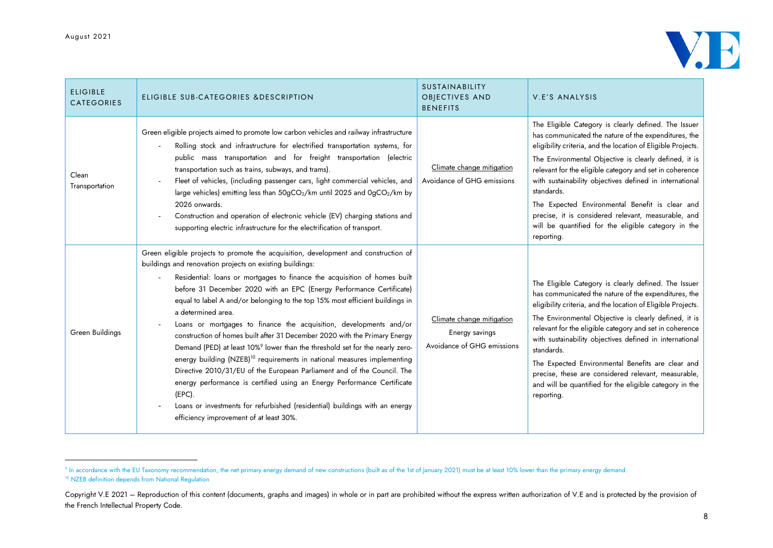

| <b>ELIGIBLE</b><br><b>CATEGORIES</b> | ELIGIBLE SUB-CATEGORIES & DESCRIPTION                                                                                                                                                                                                                                                                                                                                                                                                                                                                                                                                                                                                                                                                                                                                                                                                                                                                                                                                                                                                          | SUSTAINABILITY<br>OBJECTIVES AND<br><b>BENEFITS</b>                       | V.E'S ANALYSIS                                                                                                                                                                                                                                                                                                                                                                                                                                                                                                                                                 |
|--------------------------------------|------------------------------------------------------------------------------------------------------------------------------------------------------------------------------------------------------------------------------------------------------------------------------------------------------------------------------------------------------------------------------------------------------------------------------------------------------------------------------------------------------------------------------------------------------------------------------------------------------------------------------------------------------------------------------------------------------------------------------------------------------------------------------------------------------------------------------------------------------------------------------------------------------------------------------------------------------------------------------------------------------------------------------------------------|---------------------------------------------------------------------------|----------------------------------------------------------------------------------------------------------------------------------------------------------------------------------------------------------------------------------------------------------------------------------------------------------------------------------------------------------------------------------------------------------------------------------------------------------------------------------------------------------------------------------------------------------------|
| Clean<br>Transportation              | Green eligible projects aimed to promote low carbon vehicles and railway infrastructure<br>Rolling stock and infrastructure for electrified transportation systems, for<br>public mass transportation and for freight transportation (electric<br>transportation such as trains, subways, and trams).<br>Fleet of vehicles, (including passenger cars, light commercial vehicles, and<br>large vehicles) emitting less than 50gCO <sub>2</sub> /km until 2025 and 0gCO <sub>2</sub> /km by<br>2026 onwards.<br>Construction and operation of electronic vehicle (EV) charging stations and<br>supporting electric infrastructure for the electrification of transport.                                                                                                                                                                                                                                                                                                                                                                         | Climate change mitigation<br>Avoidance of GHG emissions                   | The Eligible Category is clearly defined. The Issuer<br>has communicated the nature of the expenditures, the<br>eligibility criteria, and the location of Eligible Projects.<br>The Environmental Objective is clearly defined, it is<br>relevant for the eligible category and set in coherence<br>with sustainability objectives defined in international<br>standards.<br>The Expected Environmental Benefit is clear and<br>precise, it is considered relevant, measurable, and<br>will be quantified for the eligible category in the<br>reporting.       |
| Green Buildings                      | Green eligible projects to promote the acquisition, development and construction of<br>buildings and renovation projects on existing buildings:<br>Residential: loans or mortgages to finance the acquisition of homes built<br>before 31 December 2020 with an EPC (Energy Performance Certificate)<br>equal to label A and/or belonging to the top 15% most efficient buildings in<br>a determined area.<br>Loans or mortgages to finance the acquisition, developments and/or<br>construction of homes built after 31 December 2020 with the Primary Energy<br>Demand (PED) at least 10% <sup>9</sup> lower than the threshold set for the nearly zero-<br>energy building (NZEB) <sup>10</sup> requirements in national measures implementing<br>Directive 2010/31/EU of the European Parliament and of the Council. The<br>energy performance is certified using an Energy Performance Certificate<br>$(EPC)$ .<br>Loans or investments for refurbished (residential) buildings with an energy<br>efficiency improvement of at least 30%. | Climate change mitigation<br>Energy savings<br>Avoidance of GHG emissions | The Eligible Category is clearly defined. The Issuer<br>has communicated the nature of the expenditures, the<br>eligibility criteria, and the location of Eligible Projects.<br>The Environmental Objective is clearly defined, it is<br>relevant for the eligible category and set in coherence<br>with sustainability objectives defined in international<br>standards.<br>The Expected Environmental Benefits are clear and<br>precise, these are considered relevant, measurable,<br>and will be quantified for the eligible category in the<br>reporting. |

 $^{\circ}$  In accordance with the EU Taxonomy recommendation, the net primary energy demand of new constructions (built as of the 1st of January 2021) must be at least 10% lower than the primary energy demand. <sup>10</sup> NZEB definition depends from National Regulation

Copyright V.E 2021 – Reproduction of this content (documents, graphs and images) in whole or in part are prohibited without the express written authorization of V.E and is protected by the provision of the French Intellectual Property Code.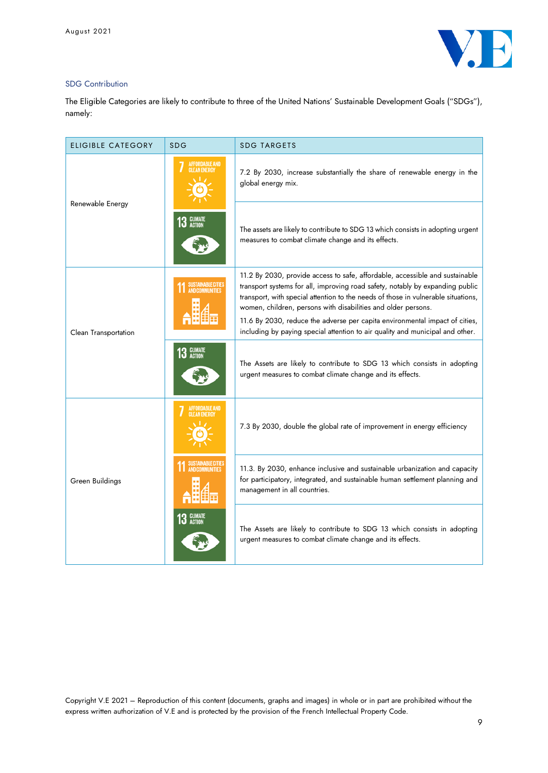

### SDG Contribution

The Eligible Categories are likely to contribute to three of the United Nations' Sustainable Development Goals ("SDGs"), namely:

| <b>ELIGIBLE CATEGORY</b> | <b>SDG</b>                                   | <b>SDG TARGETS</b>                                                                                                                                                                                                                                                                                                  |
|--------------------------|----------------------------------------------|---------------------------------------------------------------------------------------------------------------------------------------------------------------------------------------------------------------------------------------------------------------------------------------------------------------------|
|                          | <b>AFFORDABLE AND</b><br><b>CLEAN ENERGY</b> | 7.2 By 2030, increase substantially the share of renewable energy in the<br>global energy mix.                                                                                                                                                                                                                      |
| Renewable Energy         | <b>CLIMATE</b><br>ACTION<br>13               | The assets are likely to contribute to SDG 13 which consists in adopting urgent<br>measures to combat climate change and its effects.                                                                                                                                                                               |
|                          | <b>SUSTAINABLE CITIES</b>                    | 11.2 By 2030, provide access to safe, affordable, accessible and sustainable<br>transport systems for all, improving road safety, notably by expanding public<br>transport, with special attention to the needs of those in vulnerable situations,<br>women, children, persons with disabilities and older persons. |
| Clean Transportation     |                                              | 11.6 By 2030, reduce the adverse per capita environmental impact of cities,<br>including by paying special attention to air quality and municipal and other.                                                                                                                                                        |
|                          | 13 GLIMATE                                   | The Assets are likely to contribute to SDG 13 which consists in adopting<br>urgent measures to combat climate change and its effects.                                                                                                                                                                               |
|                          | <b>AFFORDABLE AND</b><br><b>CLEAN ENERGY</b> | 7.3 By 2030, double the global rate of improvement in energy efficiency                                                                                                                                                                                                                                             |
| Green Buildings          |                                              | 11.3. By 2030, enhance inclusive and sustainable urbanization and capacity<br>for participatory, integrated, and sustainable human settlement planning and<br>management in all countries.                                                                                                                          |
|                          | <b>CLIMATE</b><br><b>ACTION</b>              | The Assets are likely to contribute to SDG 13 which consists in adopting<br>urgent measures to combat climate change and its effects.                                                                                                                                                                               |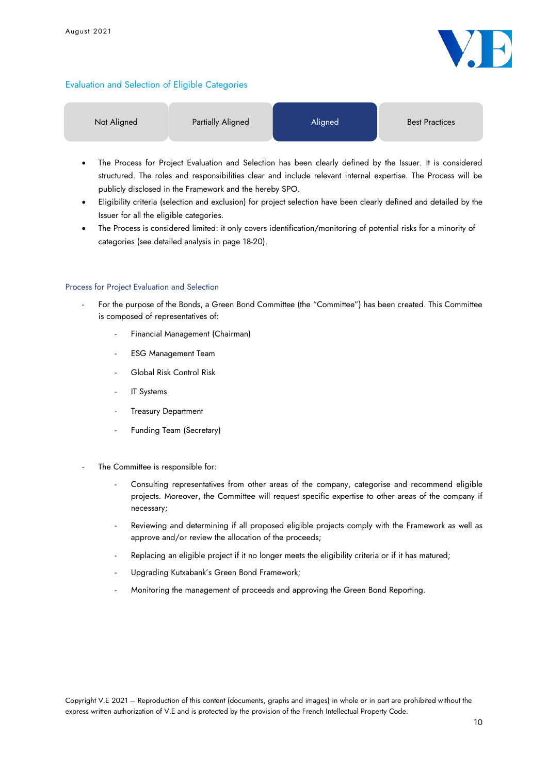

## Evaluation and Selection of Eligible Categories

| Not Aligned               | <b>Partially Aligned</b> |                                                                                                                 | <b>Best Practices</b>        |  |
|---------------------------|--------------------------|-----------------------------------------------------------------------------------------------------------------|------------------------------|--|
| $-1$<br>$\cdot$<br>$\sim$ |                          | the contract of the contract of the contract of the contract of the contract of the contract of the contract of | $\sim$<br>$\sim$ $\sim$<br>. |  |

- The Process for Project Evaluation and Selection has been clearly defined by the Issuer. It is considered structured. The roles and responsibilities clear and include relevant internal expertise. The Process will be publicly disclosed in the Framework and the hereby SPO.
- Eligibility criteria (selection and exclusion) for project selection have been clearly defined and detailed by the Issuer for all the eligible categories.
- The Process is considered limited: it only covers identification/monitoring of potential risks for a minority of categories (see detailed analysis in page 18-20).

#### Process for Project Evaluation and Selection

- For the purpose of the Bonds, a Green Bond Committee (the "Committee") has been created. This Committee is composed of representatives of:
	- Financial Management (Chairman)
	- **ESG Management Team**
	- Global Risk Control Risk
	- IT Systems
	- **Treasury Department**
	- Funding Team (Secretary)
- The Committee is responsible for:
	- Consulting representatives from other areas of the company, categorise and recommend eligible projects. Moreover, the Committee will request specific expertise to other areas of the company if necessary;
	- Reviewing and determining if all proposed eligible projects comply with the Framework as well as approve and/or review the allocation of the proceeds;
	- Replacing an eligible project if it no longer meets the eligibility criteria or if it has matured;
	- Upgrading Kutxabank's Green Bond Framework;
	- Monitoring the management of proceeds and approving the Green Bond Reporting.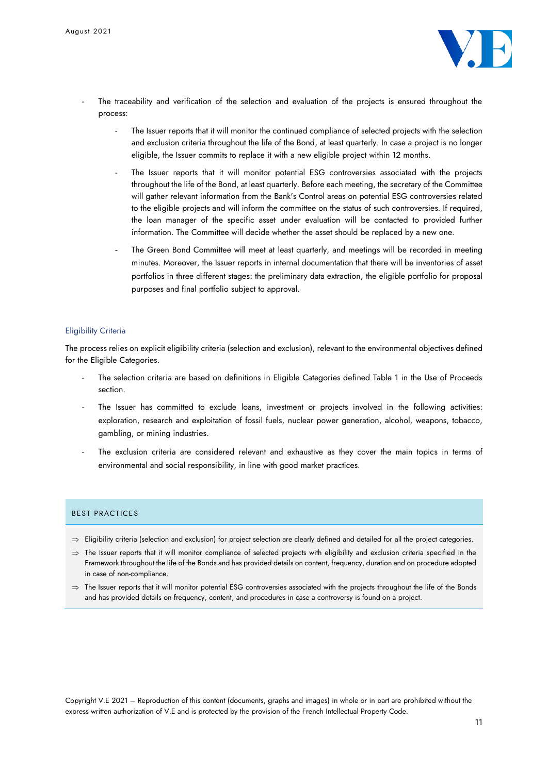

- The traceability and verification of the selection and evaluation of the projects is ensured throughout the process:
	- The Issuer reports that it will monitor the continued compliance of selected projects with the selection and exclusion criteria throughout the life of the Bond, at least quarterly. In case a project is no longer eligible, the Issuer commits to replace it with a new eligible project within 12 months.
	- The Issuer reports that it will monitor potential ESG controversies associated with the projects throughout the life of the Bond, at least quarterly. Before each meeting, the secretary of the Committee will gather relevant information from the Bank's Control areas on potential ESG controversies related to the eligible projects and will inform the committee on the status of such controversies. If required, the loan manager of the specific asset under evaluation will be contacted to provided further information. The Committee will decide whether the asset should be replaced by a new one.
	- The Green Bond Committee will meet at least quarterly, and meetings will be recorded in meeting minutes. Moreover, the Issuer reports in internal documentation that there will be inventories of asset portfolios in three different stages: the preliminary data extraction, the eligible portfolio for proposal purposes and final portfolio subject to approval.

#### Eligibility Criteria

The process relies on explicit eligibility criteria (selection and exclusion), relevant to the environmental objectives defined for the Eligible Categories.

- The selection criteria are based on definitions in Eligible Categories defined Table 1 in the Use of Proceeds section.
- The Issuer has committed to exclude loans, investment or projects involved in the following activities: exploration, research and exploitation of fossil fuels, nuclear power generation, alcohol, weapons, tobacco, gambling, or mining industries.
- The exclusion criteria are considered relevant and exhaustive as they cover the main topics in terms of environmental and social responsibility, in line with good market practices.

#### BEST PRACTICES

- $\Rightarrow$  Eligibility criteria (selection and exclusion) for project selection are clearly defined and detailed for all the project categories.
- $\Rightarrow$  The Issuer reports that it will monitor compliance of selected projects with eligibility and exclusion criteria specified in the Framework throughout the life of the Bonds and has provided details on content, frequency, duration and on procedure adopted in case of non-compliance.
- $\Rightarrow$  The Issuer reports that it will monitor potential ESG controversies associated with the projects throughout the life of the Bonds and has provided details on frequency, content, and procedures in case a controversy is found on a project.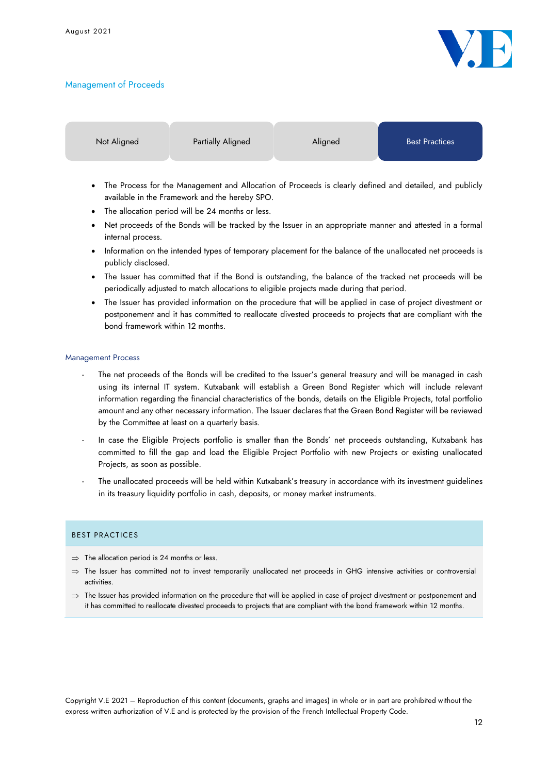### Management of Proceeds



Not Aligned **Partially Aligned** Aligned **Aligned** Best Practices

- The Process for the Management and Allocation of Proceeds is clearly defined and detailed, and publicly available in the Framework and the hereby SPO.
- The allocation period will be 24 months or less.
- Net proceeds of the Bonds will be tracked by the Issuer in an appropriate manner and attested in a formal internal process.
- Information on the intended types of temporary placement for the balance of the unallocated net proceeds is publicly disclosed.
- The Issuer has committed that if the Bond is outstanding, the balance of the tracked net proceeds will be periodically adjusted to match allocations to eligible projects made during that period.
- The Issuer has provided information on the procedure that will be applied in case of project divestment or postponement and it has committed to reallocate divested proceeds to projects that are compliant with the bond framework within 12 months.

#### Management Process

- The net proceeds of the Bonds will be credited to the Issuer's general treasury and will be managed in cash using its internal IT system. Kutxabank will establish a Green Bond Register which will include relevant information regarding the financial characteristics of the bonds, details on the Eligible Projects, total portfolio amount and any other necessary information. The Issuer declares that the Green Bond Register will be reviewed by the Committee at least on a quarterly basis.
- In case the Eligible Projects portfolio is smaller than the Bonds' net proceeds outstanding, Kutxabank has committed to fill the gap and load the Eligible Project Portfolio with new Projects or existing unallocated Projects, as soon as possible.
- The unallocated proceeds will be held within Kutxabank's treasury in accordance with its investment guidelines in its treasury liquidity portfolio in cash, deposits, or money market instruments.

#### BEST PRACTICES

- $\Rightarrow$  The allocation period is 24 months or less.
- $\Rightarrow$  The Issuer has committed not to invest temporarily unallocated net proceeds in GHG intensive activities or controversial activities.
- $\Rightarrow$  The Issuer has provided information on the procedure that will be applied in case of project divestment or postponement and it has committed to reallocate divested proceeds to projects that are compliant with the bond framework within 12 months.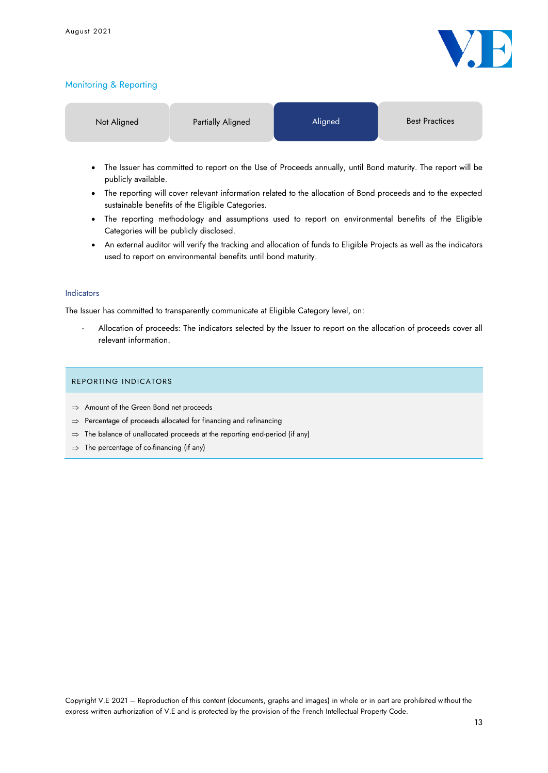

## Monitoring & Reporting

| Not Aligned | Partially Aligned                                                                                          | Aligned | <b>Best Practices</b> |
|-------------|------------------------------------------------------------------------------------------------------------|---------|-----------------------|
|             | $\sim$ . The tracedimensional measurements the of December and the anti-Deciment Deciments Theorem and the |         |                       |

- The Issuer has committed to report on the Use of Proceeds annually, until Bond maturity. The report will be publicly available.
- The reporting will cover relevant information related to the allocation of Bond proceeds and to the expected sustainable benefits of the Eligible Categories.
- The reporting methodology and assumptions used to report on environmental benefits of the Eligible Categories will be publicly disclosed.
- An external auditor will verify the tracking and allocation of funds to Eligible Projects as well as the indicators used to report on environmental benefits until bond maturity.

#### Indicators

The Issuer has committed to transparently communicate at Eligible Category level, on:

- Allocation of proceeds: The indicators selected by the Issuer to report on the allocation of proceeds cover all relevant information.

### REPORTING INDICATORS

- $\Rightarrow$  Amount of the Green Bond net proceeds
- $\Rightarrow$  Percentage of proceeds allocated for financing and refinancing
- $\Rightarrow$  The balance of unallocated proceeds at the reporting end-period (if any)
- $\Rightarrow$  The percentage of co-financing (if any)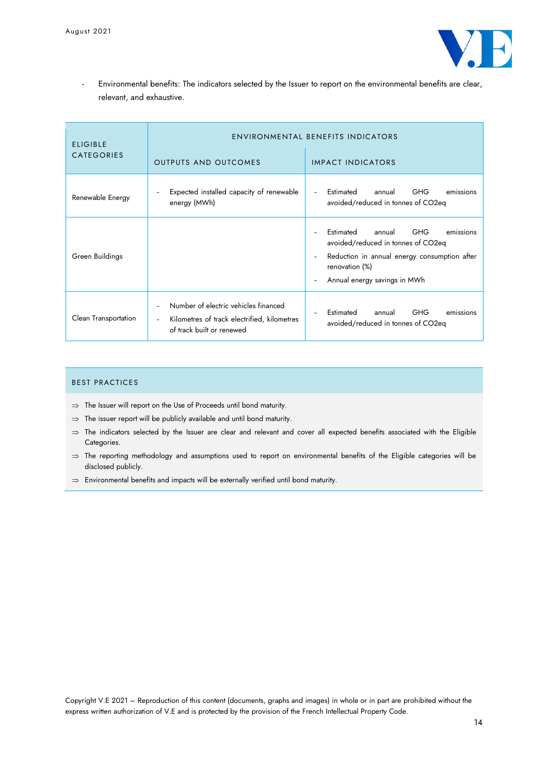

- Environmental benefits: The indicators selected by the Issuer to report on the environmental benefits are clear, relevant, and exhaustive.

| <b>ELIGIBLE</b>      | <b>ENVIRONMENTAL BENEFITS INDICATORS</b>                                                                                                     |                                                                                                                                                                                                  |  |  |
|----------------------|----------------------------------------------------------------------------------------------------------------------------------------------|--------------------------------------------------------------------------------------------------------------------------------------------------------------------------------------------------|--|--|
| <b>CATEGORIES</b>    | <b>OUTPUTS AND OUTCOMES</b>                                                                                                                  | <b>IMPACT INDICATORS</b>                                                                                                                                                                         |  |  |
| Renewable Energy     | Expected installed capacity of renewable<br>$\overline{\phantom{a}}$<br>energy (MWh)                                                         | <b>GHG</b><br>Estimated<br>annual<br>emissions<br>avoided/reduced in tonnes of CO2eq                                                                                                             |  |  |
| Green Buildings      |                                                                                                                                              | <b>GHG</b><br>Estimated<br>annual<br>emissions<br>avoided/reduced in tonnes of CO2eq<br>Reduction in annual energy consumption after<br>$\sim$<br>renovation (%)<br>Annual energy savings in MWh |  |  |
| Clean Transportation | Number of electric vehicles financed<br>Kilometres of track electrified, kilometres<br>$\overline{\phantom{a}}$<br>of track built or renewed | <b>GHG</b><br><b>Estimated</b><br>annual<br>emissions<br>avoided/reduced in tonnes of CO2eq                                                                                                      |  |  |

### BEST PRACTICES

- $\Rightarrow$  The Issuer will report on the Use of Proceeds until bond maturity.
- $\Rightarrow$  The issuer report will be publicly available and until bond maturity.
- $\Rightarrow$  The indicators selected by the Issuer are clear and relevant and cover all expected benefits associated with the Eligible Categories.
- $\Rightarrow$  The reporting methodology and assumptions used to report on environmental benefits of the Eligible categories will be disclosed publicly.
- $\Rightarrow$  Environmental benefits and impacts will be externally verified until bond maturity.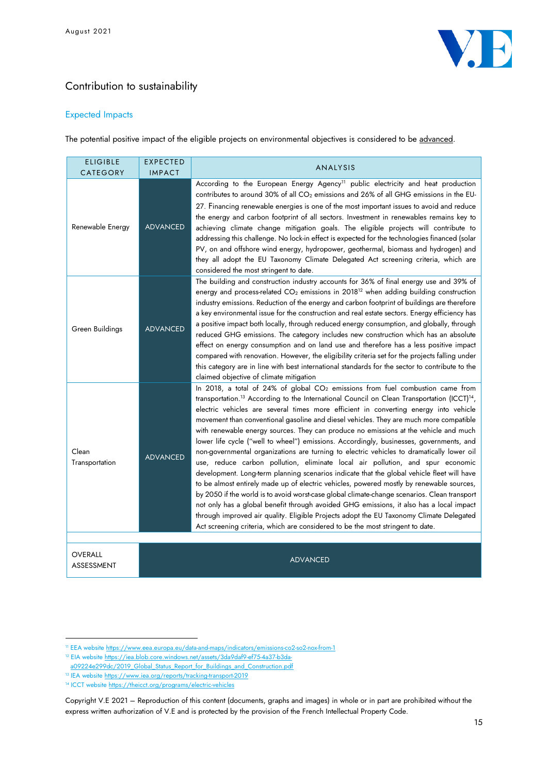

## Contribution to sustainability

## Expected Impacts

The potential positive impact of the eligible projects on environmental objectives is considered to be advanced.

| <b>ELIGIBLE</b><br><b>CATEGORY</b> | <b>EXPECTED</b><br><b>IMPACT</b> | ANALYSIS                                                                                                                                                                                                                                                                                                                                                                                                                                                                                                                                                                                                                                                                                                                                                                                                                                                                                                                                                                                                                                                                                                                                                                                                                                                                                                                                |
|------------------------------------|----------------------------------|-----------------------------------------------------------------------------------------------------------------------------------------------------------------------------------------------------------------------------------------------------------------------------------------------------------------------------------------------------------------------------------------------------------------------------------------------------------------------------------------------------------------------------------------------------------------------------------------------------------------------------------------------------------------------------------------------------------------------------------------------------------------------------------------------------------------------------------------------------------------------------------------------------------------------------------------------------------------------------------------------------------------------------------------------------------------------------------------------------------------------------------------------------------------------------------------------------------------------------------------------------------------------------------------------------------------------------------------|
| Renewable Energy                   | <b>ADVANCED</b>                  | According to the European Energy Agency <sup>11</sup> public electricity and heat production<br>contributes to around 30% of all CO <sub>2</sub> emissions and 26% of all GHG emissions in the EU-<br>27. Financing renewable energies is one of the most important issues to avoid and reduce<br>the energy and carbon footprint of all sectors. Investment in renewables remains key to<br>achieving climate change mitigation goals. The eligible projects will contribute to<br>addressing this challenge. No lock-in effect is expected for the technologies financed (solar<br>PV, on and offshore wind energy, hydropower, geothermal, biomass and hydrogen) and<br>they all adopt the EU Taxonomy Climate Delegated Act screening criteria, which are<br>considered the most stringent to date.                                                                                                                                                                                                                                                                                                                                                                                                                                                                                                                                 |
| Green Buildings                    | <b>ADVANCED</b>                  | The building and construction industry accounts for 36% of final energy use and 39% of<br>energy and process-related CO <sub>2</sub> emissions in 2018 <sup>12</sup> when adding building construction<br>industry emissions. Reduction of the energy and carbon footprint of buildings are therefore<br>a key environmental issue for the construction and real estate sectors. Energy efficiency has<br>a positive impact both locally, through reduced energy consumption, and globally, through<br>reduced GHG emissions. The category includes new construction which has an absolute<br>effect on energy consumption and on land use and therefore has a less positive impact<br>compared with renovation. However, the eligibility criteria set for the projects falling under<br>this category are in line with best international standards for the sector to contribute to the<br>claimed objective of climate mitigation                                                                                                                                                                                                                                                                                                                                                                                                     |
| Clean<br>Transportation            | <b>ADVANCED</b>                  | In 2018, a total of 24% of global CO <sub>2</sub> emissions from fuel combustion came from<br>transportation. <sup>13</sup> According to the International Council on Clean Transportation (ICCT) <sup>14</sup> ,<br>electric vehicles are several times more efficient in converting energy into vehicle<br>movement than conventional gasoline and diesel vehicles. They are much more compatible<br>with renewable energy sources. They can produce no emissions at the vehicle and much<br>lower life cycle ("well to wheel") emissions. Accordingly, businesses, governments, and<br>non-governmental organizations are turning to electric vehicles to dramatically lower oil<br>use, reduce carbon pollution, eliminate local air pollution, and spur economic<br>development. Long-term planning scenarios indicate that the global vehicle fleet will have<br>to be almost entirely made up of electric vehicles, powered mostly by renewable sources,<br>by 2050 if the world is to avoid worst-case global climate-change scenarios. Clean transport<br>not only has a global benefit through avoided GHG emissions, it also has a local impact<br>through improved air quality. Eligible Projects adopt the EU Taxonomy Climate Delegated<br>Act screening criteria, which are considered to be the most stringent to date. |
|                                    |                                  |                                                                                                                                                                                                                                                                                                                                                                                                                                                                                                                                                                                                                                                                                                                                                                                                                                                                                                                                                                                                                                                                                                                                                                                                                                                                                                                                         |
| OVERALL<br>ASSESSMENT              |                                  | <b>ADVANCED</b>                                                                                                                                                                                                                                                                                                                                                                                                                                                                                                                                                                                                                                                                                                                                                                                                                                                                                                                                                                                                                                                                                                                                                                                                                                                                                                                         |

<sup>&</sup>lt;sup>11</sup> EEA websit[e https://www.eea.europa.eu/data-and-maps/indicators/emissions-co2-so2-nox-from-1](https://www.eea.europa.eu/data-and-maps/indicators/emissions-co2-so2-nox-from-1)

<sup>&</sup>lt;sup>12</sup> EIA websit[e https://iea.blob.core.windows.net/assets/3da9daf9-ef75-4a37-b3da-](https://iea.blob.core.windows.net/assets/3da9daf9-ef75-4a37-b3da-a09224e299dc/2019_Global_Status_Report_for_Buildings_and_Construction.pdf%20-%20accessed%2014/06/2021)

[a09224e299dc/2019\\_Global\\_Status\\_Report\\_for\\_Buildings\\_and\\_Construction.pdf](https://iea.blob.core.windows.net/assets/3da9daf9-ef75-4a37-b3da-a09224e299dc/2019_Global_Status_Report_for_Buildings_and_Construction.pdf%20-%20accessed%2014/06/2021) 

<sup>13</sup> IEA websit[e https://www.iea.org/reports/tracking-transport-2019](https://www.iea.org/reports/tracking-transport-2019)

<sup>14</sup> ICCT website<https://theicct.org/programs/electric-vehicles>

Copyright V.E 2021 – Reproduction of this content (documents, graphs and images) in whole or in part are prohibited without the express written authorization of V.E and is protected by the provision of the French Intellectual Property Code.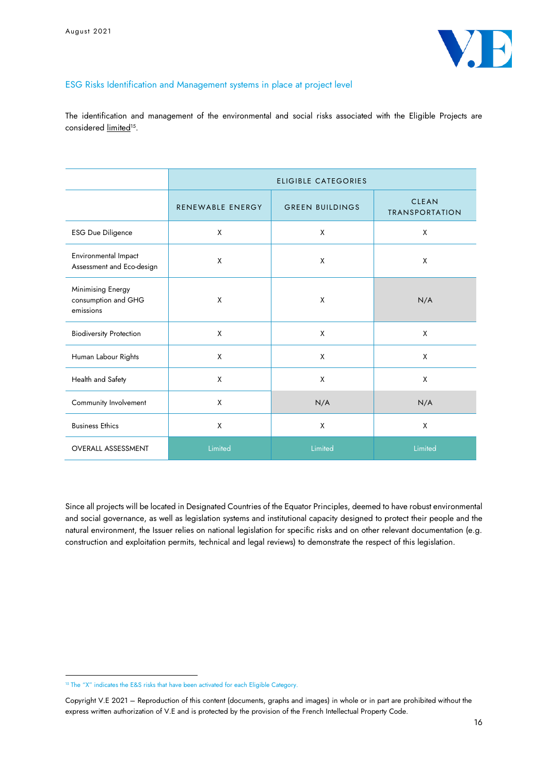

## ESG Risks Identification and Management systems in place at project level

The identification and management of the environmental and social risks associated with the Eligible Projects are considered <u>limited</u>15.

|                                                       | <b>ELIGIBLE CATEGORIES</b> |                        |                                       |  |
|-------------------------------------------------------|----------------------------|------------------------|---------------------------------------|--|
|                                                       | RENEWABLE ENERGY           | <b>GREEN BUILDINGS</b> | <b>CLEAN</b><br><b>TRANSPORTATION</b> |  |
| <b>ESG Due Diligence</b>                              | X                          | X                      | X                                     |  |
| Environmental Impact<br>Assessment and Eco-design     | X                          | X                      | X                                     |  |
| Minimising Energy<br>consumption and GHG<br>emissions | X                          | X                      | N/A                                   |  |
| <b>Biodiversity Protection</b>                        | X                          | X                      | X                                     |  |
| Human Labour Rights                                   | X                          | X                      | X                                     |  |
| Health and Safety                                     | X                          | X                      | X                                     |  |
| Community Involvement                                 | X                          | N/A                    | N/A                                   |  |
| <b>Business Ethics</b>                                | X                          | X                      | X                                     |  |
| <b>OVERALL ASSESSMENT</b>                             | Limited                    | Limited                | Limited                               |  |

Since all projects will be located in Designated Countries of the Equator Principles, deemed to have robust environmental and social governance, as well as legislation systems and institutional capacity designed to protect their people and the natural environment, the Issuer relies on national legislation for specific risks and on other relevant documentation (e.g. construction and exploitation permits, technical and legal reviews) to demonstrate the respect of this legislation.

<sup>&</sup>lt;sup>15</sup> The "X" indicates the E&S risks that have been activated for each Eligible Category.

Copyright V.E 2021 – Reproduction of this content (documents, graphs and images) in whole or in part are prohibited without the express written authorization of V.E and is protected by the provision of the French Intellectual Property Code.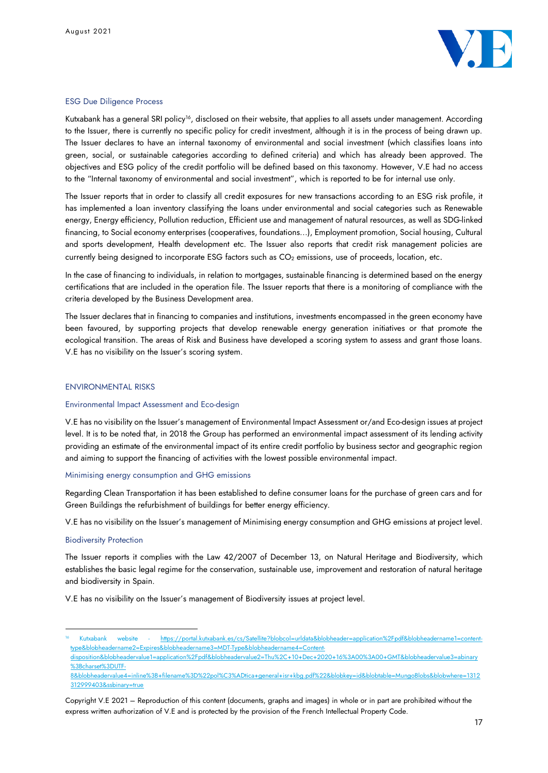

#### ESG Due Diligence Process

Kutxabank has a general SRI policy<sup>16</sup>, disclosed on their website, that applies to all assets under management. According to the Issuer, there is currently no specific policy for credit investment, although it is in the process of being drawn up. The Issuer declares to have an internal taxonomy of environmental and social investment (which classifies loans into green, social, or sustainable categories according to defined criteria) and which has already been approved. The objectives and ESG policy of the credit portfolio will be defined based on this taxonomy. However, V.E had no access to the "Internal taxonomy of environmental and social investment", which is reported to be for internal use only.

The Issuer reports that in order to classify all credit exposures for new transactions according to an ESG risk profile, it has implemented a loan inventory classifying the loans under environmental and social categories such as Renewable energy, Energy efficiency, Pollution reduction, Efficient use and management of natural resources, as well as SDG-linked financing, to Social economy enterprises (cooperatives, foundations...), Employment promotion, Social housing, Cultural and sports development, Health development etc. The Issuer also reports that credit risk management policies are currently being designed to incorporate ESG factors such as CO<sub>2</sub> emissions, use of proceeds, location, etc.

In the case of financing to individuals, in relation to mortgages, sustainable financing is determined based on the energy certifications that are included in the operation file. The Issuer reports that there is a monitoring of compliance with the criteria developed by the Business Development area.

The Issuer declares that in financing to companies and institutions, investments encompassed in the green economy have been favoured, by supporting projects that develop renewable energy generation initiatives or that promote the ecological transition. The areas of Risk and Business have developed a scoring system to assess and grant those loans. V.E has no visibility on the Issuer's scoring system.

#### ENVIRONMENTAL RISKS

#### Environmental Impact Assessment and Eco-design

V.E has no visibility on the Issuer's management of Environmental Impact Assessment or/and Eco-design issues at project level. It is to be noted that, in 2018 the Group has performed an environmental impact assessment of its lending activity providing an estimate of the environmental impact of its entire credit portfolio by business sector and geographic region and aiming to support the financing of activities with the lowest possible environmental impact.

#### Minimising energy consumption and GHG emissions

Regarding Clean Transportation it has been established to define consumer loans for the purchase of green cars and for Green Buildings the refurbishment of buildings for better energy efficiency.

V.E has no visibility on the Issuer's management of Minimising energy consumption and GHG emissions at project level.

#### Biodiversity Protection

The Issuer reports it complies with the Law 42/2007 of December 13, on Natural Heritage and Biodiversity, which establishes the basic legal regime for the conservation, sustainable use, improvement and restoration of natural heritage and biodiversity in Spain.

V.E has no visibility on the Issuer's management of Biodiversity issues at project level.

Kutxabank website - https://portal.kutxabank.es/cs/Satellite?blobcol=urldata&blobheader=application%2Fpdf&blobheadername1=co type&blobheadername2=Expires&blobheadername3=MDT-Type&blobheadername4=Content-

disposition&blobheadervalue1=application%2Fpdf&blobheadervalue2=Thu%2C+10+Dec+2020+16%3A00%3A00+GMT&blobheadervalue3=abinary %3Bcharset%3DUTF-

<sup>8&</sup>amp;blobheadervalue4=inline%3B+filename%3D%22pol%C3%ADtica+general+isr+kbg.pdf%22&blobkey=id&blobtable=MungoBlobs&blobwhere=1312 312999403&ssbinary=true

Copyright V.E 2021 – Reproduction of this content (documents, graphs and images) in whole or in part are prohibited without the express written authorization of V.E and is protected by the provision of the French Intellectual Property Code.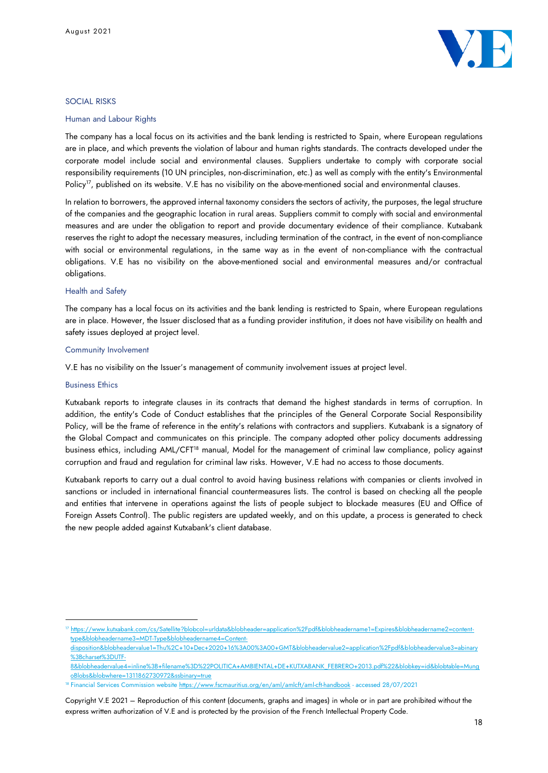

#### SOCIAL RISKS

#### Human and Labour Rights

The company has a local focus on its activities and the bank lending is restricted to Spain, where European regulations are in place, and which prevents the violation of labour and human rights standards. The contracts developed under the corporate model include social and environmental clauses. Suppliers undertake to comply with corporate social responsibility requirements (10 UN principles, non-discrimination, etc.) as well as comply with the entity's Environmental Policy<sup>17</sup>, published on its website. V.E has no visibility on the above-mentioned social and environmental clauses.

In relation to borrowers, the approved internal taxonomy considers the sectors of activity, the purposes, the legal structure of the companies and the geographic location in rural areas. Suppliers commit to comply with social and environmental measures and are under the obligation to report and provide documentary evidence of their compliance. Kutxabank reserves the right to adopt the necessary measures, including termination of the contract, in the event of non-compliance with social or environmental regulations, in the same way as in the event of non-compliance with the contractual obligations. V.E has no visibility on the above-mentioned social and environmental measures and/or contractual obligations.

#### Health and Safety

The company has a local focus on its activities and the bank lending is restricted to Spain, where European regulations are in place. However, the Issuer disclosed that as a funding provider institution, it does not have visibility on health and safety issues deployed at project level.

#### Community Involvement

V.E has no visibility on the Issuer's management of community involvement issues at project level.

#### Business Ethics

Kutxabank reports to integrate clauses in its contracts that demand the highest standards in terms of corruption. In addition, the entity's Code of Conduct establishes that the principles of the General Corporate Social Responsibility Policy, will be the frame of reference in the entity's relations with contractors and suppliers. Kutxabank is a signatory of the Global Compact and communicates on this principle. The company adopted other policy documents addressing business ethics, including AML/CFT<sup>18</sup> manual, Model for the management of criminal law compliance, policy against corruption and fraud and regulation for criminal law risks. However, V.E had no access to those documents.

Kutxabank reports to carry out a dual control to avoid having business relations with companies or clients involved in sanctions or included in international financial countermeasures lists. The control is based on checking all the people and entities that intervene in operations against the lists of people subject to blockade measures (EU and Office of Foreign Assets Control). The public registers are updated weekly, and on this update, a process is generated to check the new people added against Kutxabank's client database.

<sup>17</sup> https://www.kutxabank.com/cs/Satellite?blobcol=urldata&blobheader=application%2Fpdf&blobheadername1=Expires&blobheadername2=contenttype&blobheadername3=MDT-Type&blobheadername4=Content-

disposition&blobheadervalue1=Thu%2C+10+Dec+2020+16%3A00%3A00+GMT&blobheadervalue2=application%2Fpdf&blobheadervalue3=abinary %3Bcharset%3DUTF-

<sup>8&</sup>amp;blobheadervalue4=inline%3B+filename%3D%22POLITICA+AMBIENTAL+DE+KUTXABANK\_FEBRERO+2013.pdf%22&blobkey=id&blobtable=Mung oBlobs&blobwhere=1311862730972&ssbinary=true

<sup>&</sup>lt;sup>18</sup> Financial Services Commission websit[e https://www.fscmauritius.org/en/aml/amlcft/aml-cft-handbook](https://www.fscmauritius.org/en/aml/amlcft/aml-cft-handbook) - accessed 28/07/2021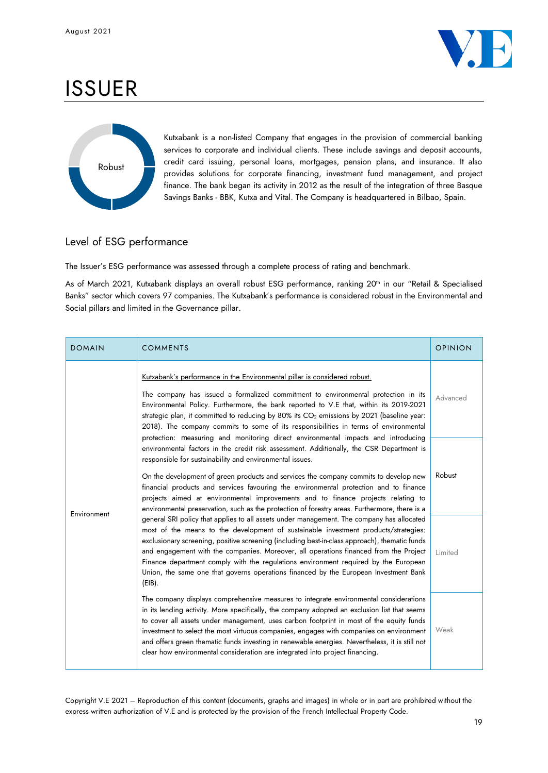

# ISSUER



Kutxabank is a non-listed Company that engages in the provision of commercial banking services to corporate and individual clients. These include savings and deposit accounts, credit card issuing, personal loans, mortgages, pension plans, and insurance. It also provides solutions for corporate financing, investment fund management, and project finance. The bank began its activity in 2012 as the result of the integration of three Basque Savings Banks - BBK, Kutxa and Vital. The Company is headquartered in Bilbao, Spain.

## Level of ESG performance

The Issuer's ESG performance was assessed through a complete process of rating and benchmark.

As of March 2021, Kutxabank displays an overall robust ESG performance, ranking 20<sup>th</sup> in our "Retail & Specialised Banks" sector which covers 97 companies. The Kutxabank's performance is considered robust in the Environmental and Social pillars and limited in the Governance pillar.

| <b>DOMAIN</b> | <b>COMMENTS</b>                                                                                                                                                                                                                                                                                                                                                                                                                                                                                                                                                                                                                                                                                                                                                                                                                                                                                                                                                   | <b>OPINION</b> |
|---------------|-------------------------------------------------------------------------------------------------------------------------------------------------------------------------------------------------------------------------------------------------------------------------------------------------------------------------------------------------------------------------------------------------------------------------------------------------------------------------------------------------------------------------------------------------------------------------------------------------------------------------------------------------------------------------------------------------------------------------------------------------------------------------------------------------------------------------------------------------------------------------------------------------------------------------------------------------------------------|----------------|
| Environment   | Kutxabank's performance in the Environmental pillar is considered robust.<br>The company has issued a formalized commitment to environmental protection in its<br>Environmental Policy. Furthermore, the bank reported to V.E that, within its 2019-2021<br>strategic plan, it committed to reducing by 80% its $CO2$ emissions by 2021 (baseline year:<br>2018). The company commits to some of its responsibilities in terms of environmental<br>protection: measuring and monitoring direct environmental impacts and introducing<br>environmental factors in the credit risk assessment. Additionally, the CSR Department is<br>responsible for sustainability and environmental issues.<br>On the development of green products and services the company commits to develop new<br>financial products and services favouring the environmental protection and to finance<br>projects aimed at environmental improvements and to finance projects relating to |                |
|               | environmental preservation, such as the protection of forestry areas. Furthermore, there is a<br>general SRI policy that applies to all assets under management. The company has allocated<br>most of the means to the development of sustainable investment products/strategies:<br>exclusionary screening, positive screening (including best-in-class approach), thematic funds<br>and engagement with the companies. Moreover, all operations financed from the Project<br>Finance department comply with the regulations environment required by the European<br>Union, the same one that governs operations financed by the European Investment Bank<br>$(EIB)$ .                                                                                                                                                                                                                                                                                           | Limited        |
|               | The company displays comprehensive measures to integrate environmental considerations<br>in its lending activity. More specifically, the company adopted an exclusion list that seems<br>to cover all assets under management, uses carbon footprint in most of the equity funds<br>investment to select the most virtuous companies, engages with companies on environment<br>and offers green thematic funds investing in renewable energies. Nevertheless, it is still not<br>clear how environmental consideration are integrated into project financing.                                                                                                                                                                                                                                                                                                                                                                                                     | Weak           |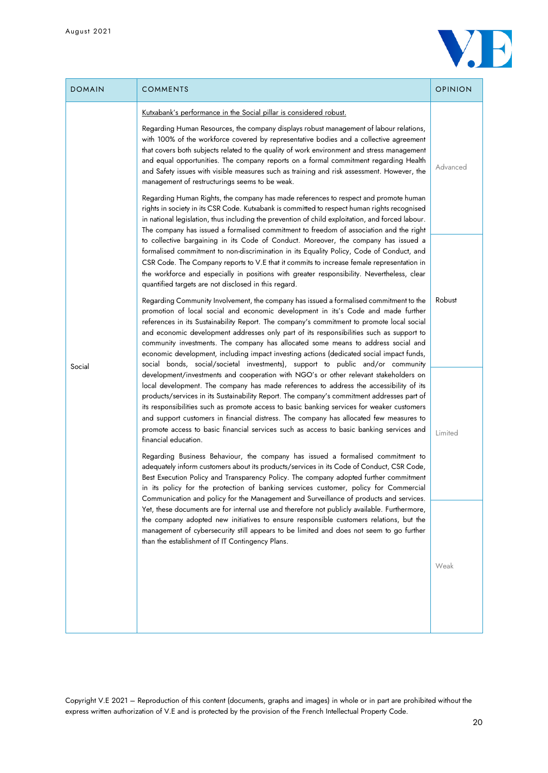

| <b>DOMAIN</b> | <b>COMMENTS</b>                                                                                                                                                                                                                                                                                                                                                                                                                                                                                                                                                                                                                                                                                                                              | <b>OPINION</b> |  |  |
|---------------|----------------------------------------------------------------------------------------------------------------------------------------------------------------------------------------------------------------------------------------------------------------------------------------------------------------------------------------------------------------------------------------------------------------------------------------------------------------------------------------------------------------------------------------------------------------------------------------------------------------------------------------------------------------------------------------------------------------------------------------------|----------------|--|--|
| Social        | Kutxabank's performance in the Social pillar is considered robust.<br>Regarding Human Resources, the company displays robust management of labour relations,<br>with 100% of the workforce covered by representative bodies and a collective agreement<br>that covers both subjects related to the quality of work environment and stress management<br>and equal opportunities. The company reports on a formal commitment regarding Health<br>and Safety issues with visible measures such as training and risk assessment. However, the<br>management of restructurings seems to be weak.<br>Regarding Human Rights, the company has made references to respect and promote human                                                         | Advanced       |  |  |
|               | rights in society in its CSR Code. Kutxabank is committed to respect human rights recognised<br>in national legislation, thus including the prevention of child exploitation, and forced labour.<br>The company has issued a formalised commitment to freedom of association and the right<br>to collective bargaining in its Code of Conduct. Moreover, the company has issued a<br>formalised commitment to non-discrimination in its Equality Policy, Code of Conduct, and<br>CSR Code. The Company reports to V.E that it commits to increase female representation in<br>the workforce and especially in positions with greater responsibility. Nevertheless, clear<br>quantified targets are not disclosed in this regard.             |                |  |  |
|               | Regarding Community Involvement, the company has issued a formalised commitment to the<br>promotion of local social and economic development in its's Code and made further<br>references in its Sustainability Report. The company's commitment to promote local social<br>and economic development addresses only part of its responsibilities such as support to<br>community investments. The company has allocated some means to address social and<br>economic development, including impact investing actions (dedicated social impact funds,<br>social bonds, social/societal investments), support to public and/or community<br>development/investments and cooperation with NGO's or other relevant stakeholders on               | Robust         |  |  |
|               | local development. The company has made references to address the accessibility of its<br>products/services in its Sustainability Report. The company's commitment addresses part of<br>its responsibilities such as promote access to basic banking services for weaker customers<br>and support customers in financial distress. The company has allocated few measures to<br>promote access to basic financial services such as access to basic banking services and<br>financial education.                                                                                                                                                                                                                                              | Limited        |  |  |
|               | Regarding Business Behaviour, the company has issued a formalised commitment to<br>adequately inform customers about its products/services in its Code of Conduct, CSR Code,<br>Best Execution Policy and Transparency Policy. The company adopted further commitment<br>in its policy for the protection of banking services customer, policy for Commercial<br>Communication and policy for the Management and Surveillance of products and services.<br>Yet, these documents are for internal use and therefore not publicly available. Furthermore,<br>the company adopted new initiatives to ensure responsible customers relations, but the<br>management of cybersecurity still appears to be limited and does not seem to go further |                |  |  |
|               | than the establishment of IT Contingency Plans.                                                                                                                                                                                                                                                                                                                                                                                                                                                                                                                                                                                                                                                                                              | Weak           |  |  |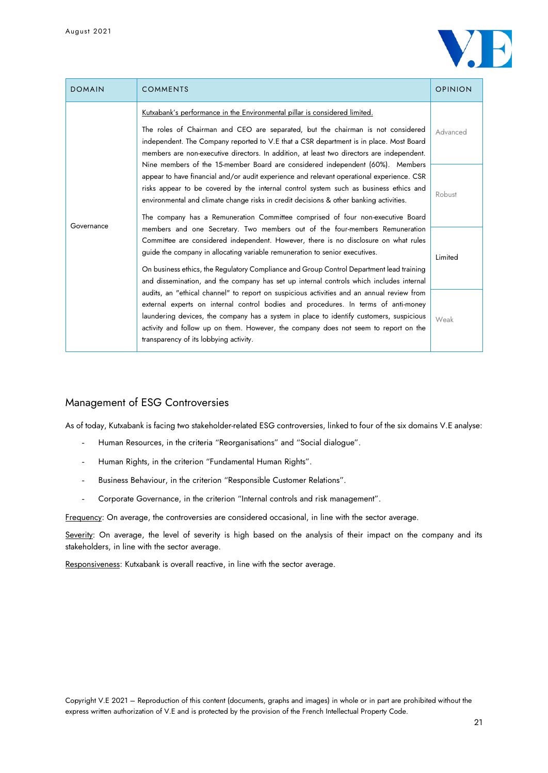

| <b>DOMAIN</b> | <b>COMMENTS</b>                                                                                                                                                                                                                                                                                                                                                                                                                                 | <b>OPINION</b> |
|---------------|-------------------------------------------------------------------------------------------------------------------------------------------------------------------------------------------------------------------------------------------------------------------------------------------------------------------------------------------------------------------------------------------------------------------------------------------------|----------------|
| Governance    | <u>Kutxabank's performance in the Environmental pillar is considered limited.</u>                                                                                                                                                                                                                                                                                                                                                               | Advanced       |
|               | The roles of Chairman and CEO are separated, but the chairman is not considered<br>independent. The Company reported to V.E that a CSR department is in place. Most Board<br>members are non-executive directors. In addition, at least two directors are independent.                                                                                                                                                                          |                |
|               | Nine members of the 15-member Board are considered independent (60%). Members<br>appear to have financial and/or audit experience and relevant operational experience. CSR<br>risks appear to be covered by the internal control system such as business ethics and<br>environmental and climate change risks in credit decisions & other banking activities.<br>The company has a Remuneration Committee comprised of four non-executive Board | Robust         |
|               | members and one Secretary. Two members out of the four-members Remuneration<br>Committee are considered independent. However, there is no disclosure on what rules<br>guide the company in allocating variable remuneration to senior executives.<br>On business ethics, the Regulatory Compliance and Group Control Department lead training<br>and dissemination, and the company has set up internal controls which includes internal        | Limited        |
|               | audits, an "ethical channel" to report on suspicious activities and an annual review from<br>external experts on internal control bodies and procedures. In terms of anti-money<br>laundering devices, the company has a system in place to identify customers, suspicious<br>activity and follow up on them. However, the company does not seem to report on the<br>transparency of its lobbying activity.                                     | Weak           |

## Management of ESG Controversies

As of today, Kutxabank is facing two stakeholder-related ESG controversies, linked to four of the six domains V.E analyse:

- Human Resources, in the criteria "Reorganisations" and "Social dialogue".
- Human Rights, in the criterion "Fundamental Human Rights".
- Business Behaviour, in the criterion "Responsible Customer Relations".
- Corporate Governance, in the criterion "Internal controls and risk management".

Frequency: On average, the controversies are considered occasional, in line with the sector average.

Severity: On average, the level of severity is high based on the analysis of their impact on the company and its stakeholders, in line with the sector average.

Responsiveness: Kutxabank is overall reactive, in line with the sector average.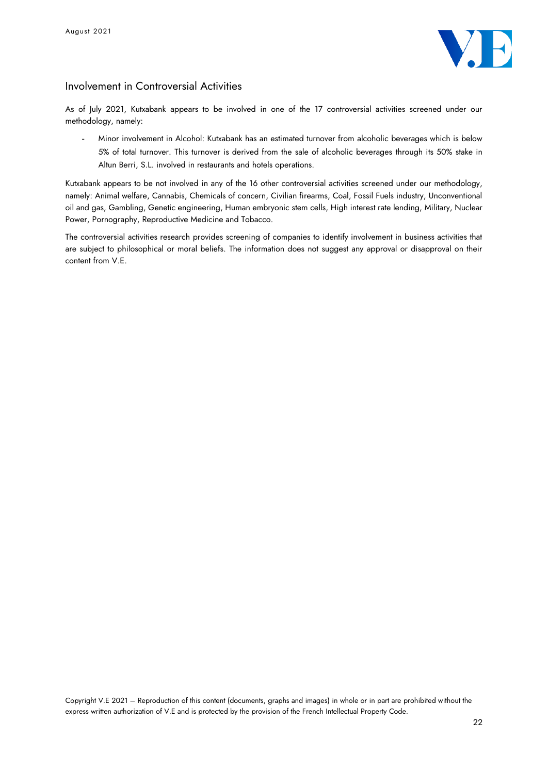

## Involvement in Controversial Activities

As of July 2021, Kutxabank appears to be involved in one of the 17 controversial activities screened under our methodology, namely:

- Minor involvement in Alcohol: Kutxabank has an estimated turnover from alcoholic beverages which is below 5% of total turnover. This turnover is derived from the sale of alcoholic beverages through its 50% stake in Altun Berri, S.L. involved in restaurants and hotels operations.

Kutxabank appears to be not involved in any of the 16 other controversial activities screened under our methodology, namely: Animal welfare, Cannabis, Chemicals of concern, Civilian firearms, Coal, Fossil Fuels industry, Unconventional oil and gas, Gambling, Genetic engineering, Human embryonic stem cells, High interest rate lending, Military, Nuclear Power, Pornography, Reproductive Medicine and Tobacco.

The controversial activities research provides screening of companies to identify involvement in business activities that are subject to philosophical or moral beliefs. The information does not suggest any approval or disapproval on their content from V.E.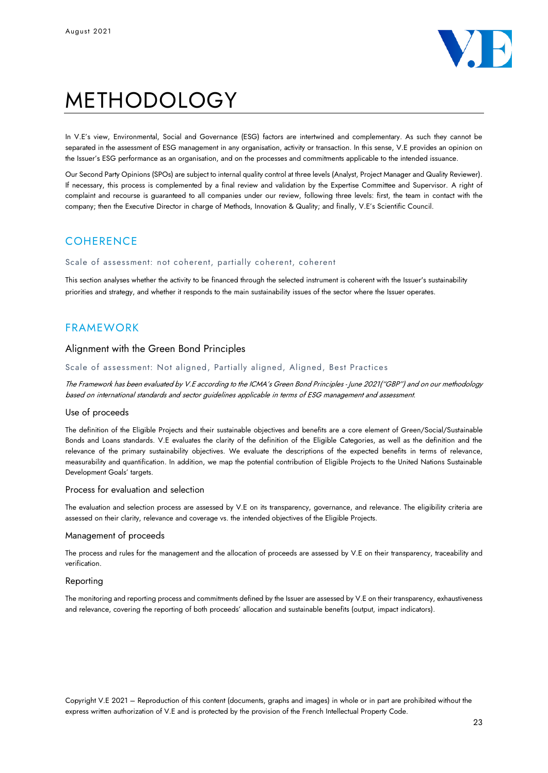

# METHODOLOGY

In V.E's view, Environmental, Social and Governance (ESG) factors are intertwined and complementary. As such they cannot be separated in the assessment of ESG management in any organisation, activity or transaction. In this sense, V.E provides an opinion on the Issuer's ESG performance as an organisation, and on the processes and commitments applicable to the intended issuance.

Our Second Party Opinions (SPOs) are subject to internal quality control at three levels (Analyst, Project Manager and Quality Reviewer). If necessary, this process is complemented by a final review and validation by the Expertise Committee and Supervisor. A right of complaint and recourse is guaranteed to all companies under our review, following three levels: first, the team in contact with the company; then the Executive Director in charge of Methods, Innovation & Quality; and finally, V.E's Scientific Council.

## **COHERENCE**

#### Scale of assessment: not coherent, partially coherent, coherent

This section analyses whether the activity to be financed through the selected instrument is coherent with the Issuer's sustainability priorities and strategy, and whether it responds to the main sustainability issues of the sector where the Issuer operates.

## FRAMEWORK

## Alignment with the Green Bond Principles

#### Scale of assessment: Not aligned, Partially aligned, Aligned, Best Practices

The Framework has been evaluated by V.E according to the ICMA's Green Bond Principles - June 2021("GBP") and on our methodology based on international standards and sector guidelines applicable in terms of ESG management and assessment.

#### Use of proceeds

The definition of the Eligible Projects and their sustainable objectives and benefits are a core element of Green/Social/Sustainable Bonds and Loans standards. V.E evaluates the clarity of the definition of the Eligible Categories, as well as the definition and the relevance of the primary sustainability objectives. We evaluate the descriptions of the expected benefits in terms of relevance, measurability and quantification. In addition, we map the potential contribution of Eligible Projects to the United Nations Sustainable Development Goals' targets.

#### Process for evaluation and selection

The evaluation and selection process are assessed by V.E on its transparency, governance, and relevance. The eligibility criteria are assessed on their clarity, relevance and coverage vs. the intended objectives of the Eligible Projects.

#### Management of proceeds

The process and rules for the management and the allocation of proceeds are assessed by V.E on their transparency, traceability and verification.

#### Reporting

The monitoring and reporting process and commitments defined by the Issuer are assessed by V.E on their transparency, exhaustiveness and relevance, covering the reporting of both proceeds' allocation and sustainable benefits (output, impact indicators).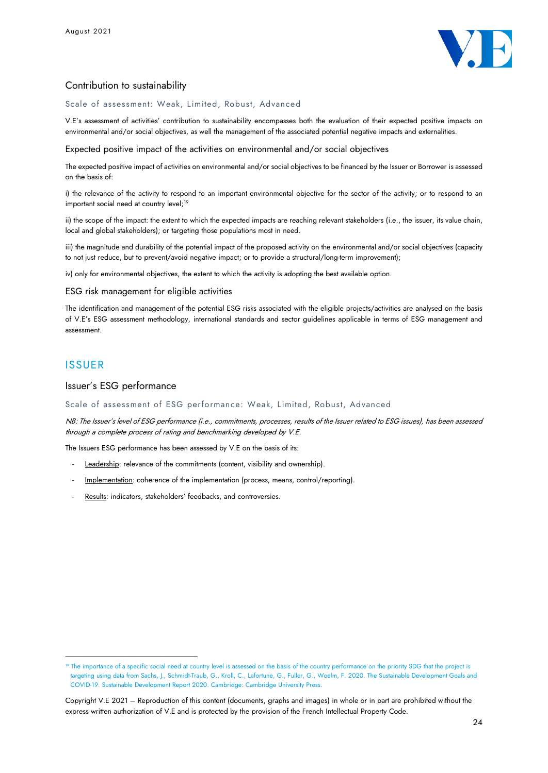

## Contribution to sustainability

Scale of assessment: Weak, Limited, Robust, Advanced

V.E's assessment of activities' contribution to sustainability encompasses both the evaluation of their expected positive impacts on environmental and/or social objectives, as well the management of the associated potential negative impacts and externalities.

Expected positive impact of the activities on environmental and/or social objectives

The expected positive impact of activities on environmental and/or social objectives to be financed by the Issuer or Borrower is assessed on the basis of:

i) the relevance of the activity to respond to an important environmental objective for the sector of the activity; or to respond to an important social need at country level;<sup>19</sup>

ii) the scope of the impact: the extent to which the expected impacts are reaching relevant stakeholders (i.e., the issuer, its value chain, local and global stakeholders); or targeting those populations most in need.

iii) the magnitude and durability of the potential impact of the proposed activity on the environmental and/or social objectives (capacity to not just reduce, but to prevent/avoid negative impact; or to provide a structural/long-term improvement);

iv) only for environmental objectives, the extent to which the activity is adopting the best available option.

#### ESG risk management for eligible activities

The identification and management of the potential ESG risks associated with the eligible projects/activities are analysed on the basis of V.E's ESG assessment methodology, international standards and sector guidelines applicable in terms of ESG management and assessment.

## ISSUER

## Issuer's ESG performance

#### Scale of assessment of ESG performance: Weak, Limited, Robust, Advanced

NB: The Issuer's level of ESG performance (i.e., commitments, processes, results of the Issuer related to ESG issues), has been assessed through a complete process of rating and benchmarking developed by V.E.

The Issuers ESG performance has been assessed by V.E on the basis of its:

- Leadership: relevance of the commitments (content, visibility and ownership).
- Implementation: coherence of the implementation (process, means, control/reporting).
- Results: indicators, stakeholders' feedbacks, and controversies.

<sup>19</sup> The importance of a specific social need at country level is assessed on the basis of the country performance on the priority SDG that the project is targeting using data from Sachs, J., Schmidt-Traub, G., Kroll, C., Lafortune, G., Fuller, G., Woelm, F. 2020. The Sustainable Development Goals and COVID-19. Sustainable Development Report 2020. Cambridge: Cambridge University Press.

Copyright V.E 2021 – Reproduction of this content (documents, graphs and images) in whole or in part are prohibited without the express written authorization of V.E and is protected by the provision of the French Intellectual Property Code.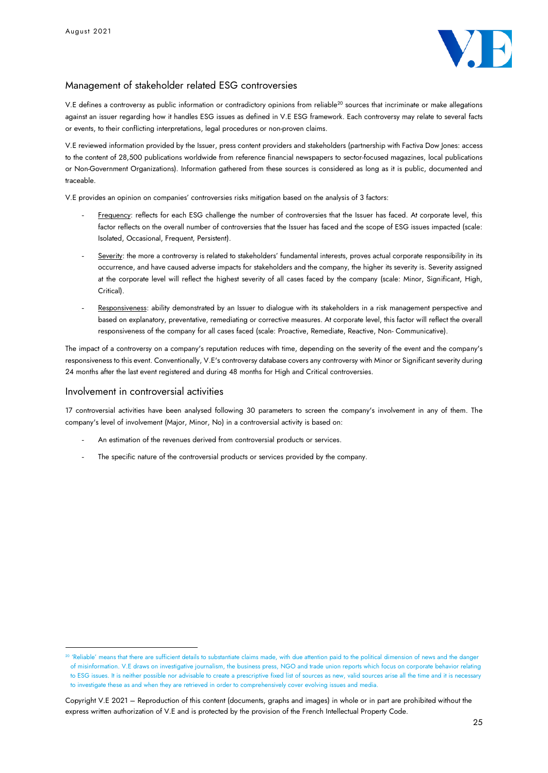

## Management of stakeholder related ESG controversies

V.E defines a controversy as public information or contradictory opinions from reliable<sup>20</sup> sources that incriminate or make allegations against an issuer regarding how it handles ESG issues as defined in V.E ESG framework. Each controversy may relate to several facts or events, to their conflicting interpretations, legal procedures or non-proven claims.

V.E reviewed information provided by the Issuer, press content providers and stakeholders (partnership with Factiva Dow Jones: access to the content of 28,500 publications worldwide from reference financial newspapers to sector-focused magazines, local publications or Non-Government Organizations). Information gathered from these sources is considered as long as it is public, documented and traceable.

V.E provides an opinion on companies' controversies risks mitigation based on the analysis of 3 factors:

- Frequency: reflects for each ESG challenge the number of controversies that the Issuer has faced. At corporate level, this factor reflects on the overall number of controversies that the Issuer has faced and the scope of ESG issues impacted (scale: Isolated, Occasional, Frequent, Persistent).
- Severity: the more a controversy is related to stakeholders' fundamental interests, proves actual corporate responsibility in its occurrence, and have caused adverse impacts for stakeholders and the company, the higher its severity is. Severity assigned at the corporate level will reflect the highest severity of all cases faced by the company (scale: Minor, Significant, High, Critical).
- Responsiveness: ability demonstrated by an Issuer to dialogue with its stakeholders in a risk management perspective and based on explanatory, preventative, remediating or corrective measures. At corporate level, this factor will reflect the overall responsiveness of the company for all cases faced (scale: Proactive, Remediate, Reactive, Non- Communicative).

The impact of a controversy on a company's reputation reduces with time, depending on the severity of the event and the company's responsiveness to this event. Conventionally, V.E's controversy database covers any controversy with Minor or Significant severity during 24 months after the last event registered and during 48 months for High and Critical controversies.

#### Involvement in controversial activities

17 controversial activities have been analysed following 30 parameters to screen the company's involvement in any of them. The company's level of involvement (Major, Minor, No) in a controversial activity is based on:

- An estimation of the revenues derived from controversial products or services.
- The specific nature of the controversial products or services provided by the company.

<sup>&</sup>lt;sup>20</sup> 'Reliable' means that there are sufficient details to substantiate claims made, with due attention paid to the political dimension of news and the danger of misinformation. V.E draws on investigative journalism, the business press, NGO and trade union reports which focus on corporate behavior relating to ESG issues. It is neither possible nor advisable to create a prescriptive fixed list of sources as new, valid sources arise all the time and it is necessary to investigate these as and when they are retrieved in order to comprehensively cover evolving issues and media.

Copyright V.E 2021 – Reproduction of this content (documents, graphs and images) in whole or in part are prohibited without the express written authorization of V.E and is protected by the provision of the French Intellectual Property Code.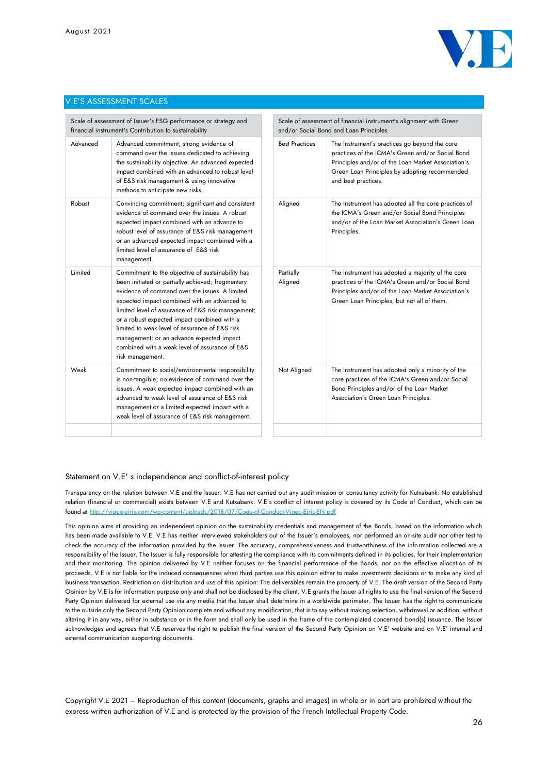

#### V.E'S ASSESSMENT SCALES

| Scale of assessment of Issuer's ESG performance or strategy and<br>financial instrument's Contribution to sustainability |                                                                                                                                                                                                                                                                                                                                                                                                                                                                                    | Scale of assessment of financial instrument's alignment with Green<br>and/or Social Bond and Loan Principles |                                                                                                                                                                                                                                 |
|--------------------------------------------------------------------------------------------------------------------------|------------------------------------------------------------------------------------------------------------------------------------------------------------------------------------------------------------------------------------------------------------------------------------------------------------------------------------------------------------------------------------------------------------------------------------------------------------------------------------|--------------------------------------------------------------------------------------------------------------|---------------------------------------------------------------------------------------------------------------------------------------------------------------------------------------------------------------------------------|
| Advanced                                                                                                                 | Advanced commitment; strong evidence of<br>command over the issues dedicated to achieving<br>the sustainability objective. An advanced expected<br>impact combined with an advanced to robust level<br>of E&S risk management & using innovative<br>methods to anticipate new risks.                                                                                                                                                                                               |                                                                                                              | The Instrument's practices go beyond the core<br>practices of the ICMA's Green and/or Social Bond<br>Principles and/or of the Loan Market Association's<br>Green Loan Principles by adopting recommended<br>and best practices. |
| Robust                                                                                                                   | Convincing commitment; significant and consistent<br>evidence of command over the issues. A robust<br>expected impact combined with an advance to<br>robust level of assurance of E&S risk management<br>or an advanced expected impact combined with a<br>limited level of assurance of E&S risk<br>management.                                                                                                                                                                   | Aligned                                                                                                      | The Instrument has adopted all the core practices of<br>the ICMA's Green and/or Social Bond Principles<br>and/or of the Loan Market Association's Green Loan<br>Principles.                                                     |
| Limited                                                                                                                  | Commitment to the objective of sustainability has<br>been initiated or partially achieved; fragmentary<br>evidence of command over the issues. A limited<br>expected impact combined with an advanced to<br>limited level of assurance of E&S risk management;<br>or a robust expected impact combined with a<br>limited to weak level of assurance of E&S risk<br>management; or an advance expected impact<br>combined with a weak level of assurance of E&S<br>risk management. | Partially<br>Aligned                                                                                         | The Instrument has adopted a majority of the core<br>practices of the ICMA's Green and/or Social Bond<br>Principles and/or of the Loan Market Association's<br>Green Loan Principles, but not all of them.                      |
| Weak                                                                                                                     | Commitment to social/environmental responsibility<br>is non-tangible; no evidence of command over the<br>issues. A weak expected impact combined with an<br>advanced to weak level of assurance of E&S risk<br>management or a limited expected impact with a<br>weak level of assurance of E&S risk management.                                                                                                                                                                   | Not Aligned                                                                                                  | The Instrument has adopted only a minority of the<br>core practices of the ICMA's Green and/or Social<br>Bond Principles and/or of the Loan Market<br>Association's Green Loan Principles.                                      |
|                                                                                                                          |                                                                                                                                                                                                                                                                                                                                                                                                                                                                                    |                                                                                                              |                                                                                                                                                                                                                                 |

#### Statement on V.E' s independence and conflict-of-interest policy

Transparency on the relation between V.E and the Issuer: V.E has not carried out any audit mission or consultancy activity for Kutxabank. No established relation (financial or commercial) exists between V.E and Kutxabank. V.E's conflict of interest policy is covered by its Code of Conduct, which can be found a[t http://vigeo-eiris.com/wp-content/uploads/2018/07/Code-of-Conduct-Vigeo-Eiris-EN.pdf](http://vigeo-eiris.com/wp-content/uploads/2018/07/Code-of-Conduct-Vigeo-Eiris-EN.pdf)

This opinion aims at providing an independent opinion on the sustainability credentials and management of the Bonds, based on the information which has been made available to V.E. V.E has neither interviewed stakeholders out of the Issuer's employees, nor performed an on-site audit nor other test to check the accuracy of the information provided by the Issuer. The accuracy, comprehensiveness and trustworthiness of the information collected are a responsibility of the Issuer. The Issuer is fully responsible for attesting the compliance with its commitments defined in its policies, for their implementation and their monitoring. The opinion delivered by V.E neither focuses on the financial performance of the Bonds, nor on the effective allocation of its proceeds. V.E is not liable for the induced consequences when third parties use this opinion either to make investments decisions or to make any kind of business transaction. Restriction on distribution and use of this opinion: The deliverables remain the property of V.E. The draft version of the Second Party Opinion by V.E is for information purpose only and shall not be disclosed by the client. V.E grants the Issuer all rights to use the final version of the Second Party Opinion delivered for external use via any media that the Issuer shall determine in a worldwide perimeter. The Issuer has the right to communicate to the outside only the Second Party Opinion complete and without any modification, that is to say without making selection, withdrawal or addition, without altering it in any way, either in substance or in the form and shall only be used in the frame of the contemplated concerned bond(s) issuance. The Issuer acknowledges and agrees that V.E reserves the right to publish the final version of the Second Party Opinion on V.E' website and on V.E' internal and external communication supporting documents.